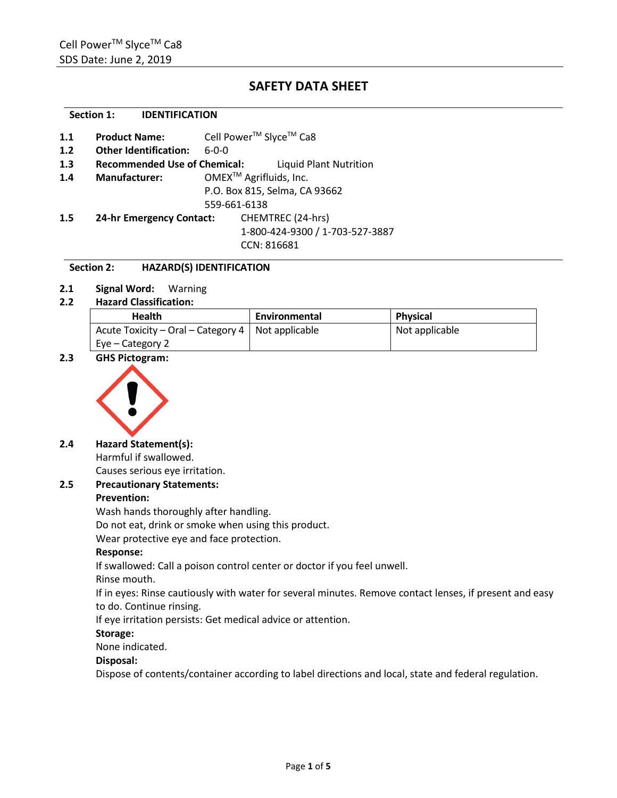# **SAFETY DATA SHEET**

## **Section 1: IDENTIFICATION**

| 1.1 | <b>Product Name:</b>                | Cell Power <sup>™</sup> Slyce <sup>™</sup> Ca8 |                                    |  |
|-----|-------------------------------------|------------------------------------------------|------------------------------------|--|
| 1.2 | <b>Other Identification:</b>        | $6 - 0 - 0$                                    |                                    |  |
| 1.3 | <b>Recommended Use of Chemical:</b> |                                                | Liquid Plant Nutrition             |  |
| 1.4 | <b>Manufacturer:</b>                |                                                | OMEX <sup>™</sup> Agrifluids, Inc. |  |
|     |                                     |                                                | P.O. Box 815, Selma, CA 93662      |  |
|     |                                     | 559-661-6138                                   |                                    |  |
| 1.5 | <b>24-hr Emergency Contact:</b>     |                                                | CHEMTREC (24-hrs)                  |  |
|     |                                     |                                                | 1-800-424-9300 / 1-703-527-3887    |  |
|     |                                     |                                                | CCN: 816681                        |  |
|     |                                     |                                                |                                    |  |

## **Section 2: HAZARD(S) IDENTIFICATION**

**2.1 Signal Word:** Warning

## **2.2 Hazard Classification:**

| <b>Health</b>                                       | Environmental | <b>Physical</b> |
|-----------------------------------------------------|---------------|-----------------|
| Acute Toxicity – Oral – Category 4   Not applicable |               | Not applicable  |
| $Eve - Categorical$                                 |               |                 |

**2.3 GHS Pictogram:**



## **2.4 Hazard Statement(s):**

Harmful if swallowed. Causes serious eye irritation.

## **2.5 Precautionary Statements:**

## **Prevention:**

Wash hands thoroughly after handling.

Do not eat, drink or smoke when using this product.

Wear protective eye and face protection.

## **Response:**

If swallowed: Call a poison control center or doctor if you feel unwell.

Rinse mouth.

If in eyes: Rinse cautiously with water for several minutes. Remove contact lenses, if present and easy to do. Continue rinsing.

If eye irritation persists: Get medical advice or attention.

## **Storage:**

None indicated.

## **Disposal:**

Dispose of contents/container according to label directions and local, state and federal regulation.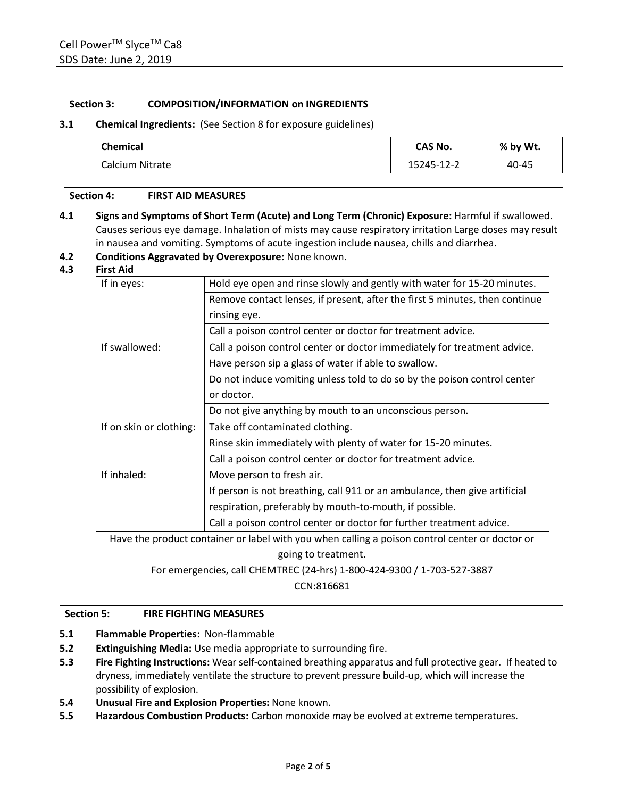## **Section 3: COMPOSITION/INFORMATION on INGREDIENTS**

## **3.1 Chemical Ingredients:** (See Section 8 for exposure guidelines)

| <b>Chemical</b> | CAS No.    | % by Wt. |  |
|-----------------|------------|----------|--|
| Calcium Nitrate | 15245-12-2 | 40-45    |  |

## **Section 4: FIRST AID MEASURES**

**4.1 Signs and Symptoms of Short Term (Acute) and Long Term (Chronic) Exposure:** Harmful if swallowed. Causes serious eye damage. Inhalation of mists may cause respiratory irritation Large doses may result in nausea and vomiting. Symptoms of acute ingestion include nausea, chills and diarrhea.

## **4.2 Conditions Aggravated by Overexposure:** None known.

## **4.3 First Aid**

| If in eyes:                                                                                    | Hold eye open and rinse slowly and gently with water for 15-20 minutes.     |  |  |
|------------------------------------------------------------------------------------------------|-----------------------------------------------------------------------------|--|--|
|                                                                                                | Remove contact lenses, if present, after the first 5 minutes, then continue |  |  |
|                                                                                                | rinsing eye.                                                                |  |  |
|                                                                                                | Call a poison control center or doctor for treatment advice.                |  |  |
| If swallowed:                                                                                  | Call a poison control center or doctor immediately for treatment advice.    |  |  |
|                                                                                                | Have person sip a glass of water if able to swallow.                        |  |  |
|                                                                                                | Do not induce vomiting unless told to do so by the poison control center    |  |  |
|                                                                                                | or doctor.                                                                  |  |  |
|                                                                                                | Do not give anything by mouth to an unconscious person.                     |  |  |
| If on skin or clothing:                                                                        | Take off contaminated clothing.                                             |  |  |
|                                                                                                | Rinse skin immediately with plenty of water for 15-20 minutes.              |  |  |
|                                                                                                | Call a poison control center or doctor for treatment advice.                |  |  |
| If inhaled:                                                                                    | Move person to fresh air.                                                   |  |  |
|                                                                                                | If person is not breathing, call 911 or an ambulance, then give artificial  |  |  |
|                                                                                                | respiration, preferably by mouth-to-mouth, if possible.                     |  |  |
|                                                                                                | Call a poison control center or doctor for further treatment advice.        |  |  |
| Have the product container or label with you when calling a poison control center or doctor or |                                                                             |  |  |
| going to treatment.                                                                            |                                                                             |  |  |
|                                                                                                | For emergencies, call CHEMTREC (24-hrs) 1-800-424-9300 / 1-703-527-3887     |  |  |
| CCN:816681                                                                                     |                                                                             |  |  |

## **Section 5: FIRE FIGHTING MEASURES**

- **5.1 Flammable Properties:** Non-flammable
- **5.2 Extinguishing Media:** Use media appropriate to surrounding fire.
- **5.3 Fire Fighting Instructions:** Wear self-contained breathing apparatus and full protective gear. If heated to dryness, immediately ventilate the structure to prevent pressure build-up, which will increase the possibility of explosion.
- **5.4 Unusual Fire and Explosion Properties:** None known.
- **5.5 Hazardous Combustion Products:** Carbon monoxide may be evolved at extreme temperatures.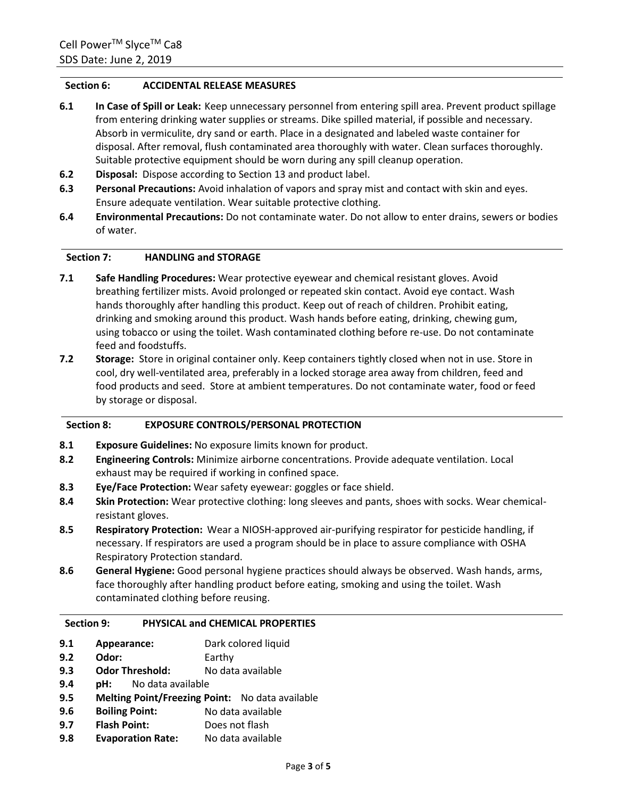## **Section 6: ACCIDENTAL RELEASE MEASURES**

- **6.1 In Case of Spill or Leak:** Keep unnecessary personnel from entering spill area. Prevent product spillage from entering drinking water supplies or streams. Dike spilled material, if possible and necessary. Absorb in vermiculite, dry sand or earth. Place in a designated and labeled waste container for disposal. After removal, flush contaminated area thoroughly with water. Clean surfaces thoroughly. Suitable protective equipment should be worn during any spill cleanup operation.
- **6.2 Disposal:** Dispose according to Section 13 and product label.
- **6.3 Personal Precautions:** Avoid inhalation of vapors and spray mist and contact with skin and eyes. Ensure adequate ventilation. Wear suitable protective clothing.
- **6.4 Environmental Precautions:** Do not contaminate water. Do not allow to enter drains, sewers or bodies of water.

## **Section 7: HANDLING and STORAGE**

- **7.1 Safe Handling Procedures:** Wear protective eyewear and chemical resistant gloves. Avoid breathing fertilizer mists. Avoid prolonged or repeated skin contact. Avoid eye contact. Wash hands thoroughly after handling this product. Keep out of reach of children. Prohibit eating, drinking and smoking around this product. Wash hands before eating, drinking, chewing gum, using tobacco or using the toilet. Wash contaminated clothing before re-use. Do not contaminate feed and foodstuffs.
- **7.2 Storage:** Store in original container only. Keep containers tightly closed when not in use. Store in cool, dry well-ventilated area, preferably in a locked storage area away from children, feed and food products and seed. Store at ambient temperatures. Do not contaminate water, food or feed by storage or disposal.

## **Section 8: EXPOSURE CONTROLS/PERSONAL PROTECTION**

- **8.1 Exposure Guidelines:** No exposure limits known for product.
- **8.2 Engineering Controls:** Minimize airborne concentrations. Provide adequate ventilation. Local exhaust may be required if working in confined space.
- **8.3 Eye/Face Protection:** Wear safety eyewear: goggles or face shield.
- **8.4 Skin Protection:** Wear protective clothing: long sleeves and pants, shoes with socks. Wear chemicalresistant gloves.
- **8.5 Respiratory Protection:** Wear a NIOSH-approved air-purifying respirator for pesticide handling, if necessary. If respirators are used a program should be in place to assure compliance with OSHA Respiratory Protection standard.
- **8.6 General Hygiene:** Good personal hygiene practices should always be observed. Wash hands, arms, face thoroughly after handling product before eating, smoking and using the toilet. Wash contaminated clothing before reusing.

## **Section 9: PHYSICAL and CHEMICAL PROPERTIES**

- **9.1 Appearance:** Dark colored liquid
- **9.2 Odor:** Earthy
- **9.3 Odor Threshold:** No data available
- **9.4 pH:** No data available
- **9.5 Melting Point/Freezing Point:** No data available
- **9.6 Boiling Point:** No data available
- **9.7 Flash Point:** Does not flash
- **9.8 Evaporation Rate:** No data available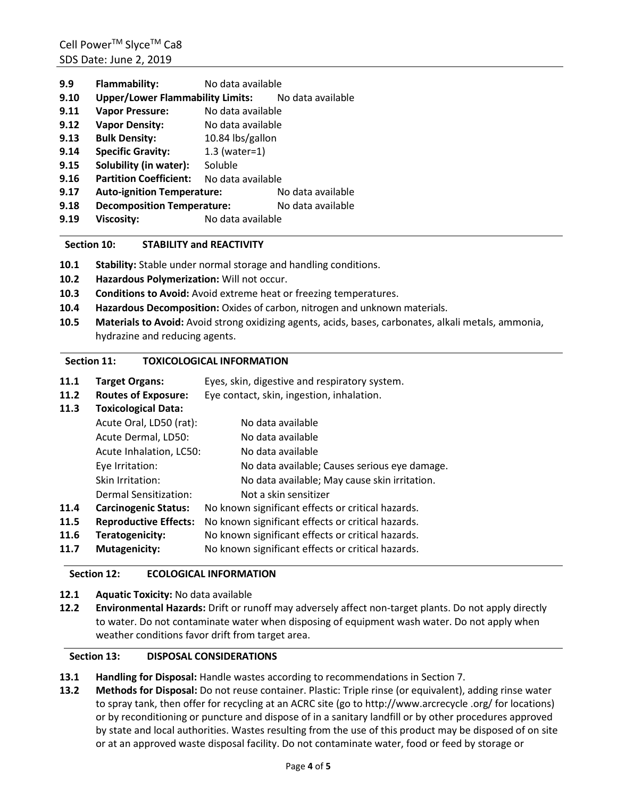| 9.9  | <b>Flammability:</b>                               | No data available |                   |  |
|------|----------------------------------------------------|-------------------|-------------------|--|
| 9.10 | Upper/Lower Flammability Limits: No data available |                   |                   |  |
| 9.11 | <b>Vapor Pressure:</b>                             | No data available |                   |  |
| 9.12 | <b>Vapor Density:</b>                              | No data available |                   |  |
| 9.13 | <b>Bulk Density:</b>                               | 10.84 lbs/gallon  |                   |  |
| 9.14 | <b>Specific Gravity:</b>                           | $1.3$ (water=1)   |                   |  |
| 9.15 | Solubility (in water):                             | Soluble           |                   |  |
| 9.16 | <b>Partition Coefficient:</b>                      | No data available |                   |  |
| 9.17 | <b>Auto-ignition Temperature:</b>                  |                   | No data available |  |
| 9.18 | <b>Decomposition Temperature:</b>                  |                   | No data available |  |
| 9.19 | <b>Viscosity:</b>                                  | No data available |                   |  |

## **Section 10: STABILITY and REACTIVITY**

- **10.1 Stability:** Stable under normal storage and handling conditions.
- **10.2 Hazardous Polymerization:** Will not occur.
- **10.3 Conditions to Avoid:** Avoid extreme heat or freezing temperatures.
- **10.4 Hazardous Decomposition:** Oxides of carbon, nitrogen and unknown materials.
- **10.5 Materials to Avoid:** Avoid strong oxidizing agents, acids, bases, carbonates, alkali metals, ammonia, hydrazine and reducing agents.

## **Section 11: TOXICOLOGICAL INFORMATION**

- **11.1 Target Organs:** Eyes, skin, digestive and respiratory system.
- **11.2 Routes of Exposure:** Eye contact, skin, ingestion, inhalation.

## **11.3 Toxicological Data:**

|      | Acute Oral, LD50 (rat):      | No data available                                 |
|------|------------------------------|---------------------------------------------------|
|      | Acute Dermal, LD50:          | No data available                                 |
|      | Acute Inhalation, LC50:      | No data available                                 |
|      | Eye Irritation:              | No data available; Causes serious eye damage.     |
|      | Skin Irritation:             | No data available; May cause skin irritation.     |
|      | Dermal Sensitization:        | Not a skin sensitizer                             |
| 11.4 | <b>Carcinogenic Status:</b>  | No known significant effects or critical hazards. |
| 11.5 | <b>Reproductive Effects:</b> | No known significant effects or critical hazards. |
| 11.6 | Teratogenicity:              | No known significant effects or critical hazards. |
| 11.7 | Mutagenicity:                | No known significant effects or critical hazards. |

## **Section 12: ECOLOGICAL INFORMATION**

## **12.1 Aquatic Toxicity:** No data available

**12.2 Environmental Hazards:** Drift or runoff may adversely affect non-target plants. Do not apply directly to water. Do not contaminate water when disposing of equipment wash water. Do not apply when weather conditions favor drift from target area.

## **Section 13: DISPOSAL CONSIDERATIONS**

- **13.1 Handling for Disposal:** Handle wastes according to recommendations in Section 7.
- **13.2 Methods for Disposal:** Do not reuse container. Plastic: Triple rinse (or equivalent), adding rinse water to spray tank, then offer for recycling at an ACRC site (go to http://www.arcrecycle .org/ for locations) or by reconditioning or puncture and dispose of in a sanitary landfill or by other procedures approved by state and local authorities. Wastes resulting from the use of this product may be disposed of on site or at an approved waste disposal facility. Do not contaminate water, food or feed by storage or